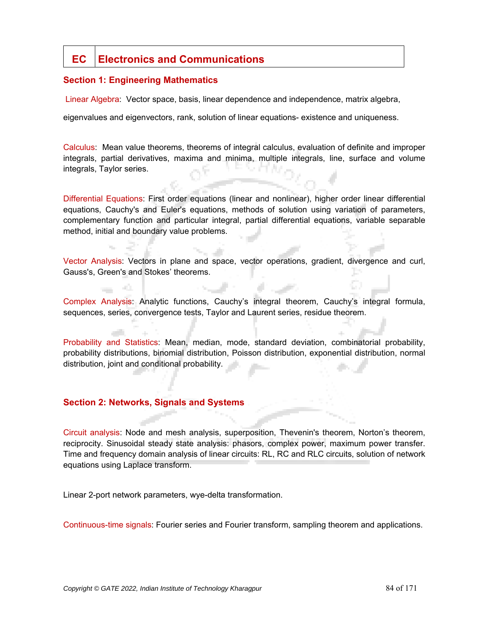# **EC Electronics and Communications**

#### **Section 1: Engineering Mathematics**

Linear Algebra: Vector space, basis, linear dependence and independence, matrix algebra,

eigenvalues and eigenvectors, rank, solution of linear equations- existence and uniqueness.

Calculus: Mean value theorems, theorems of integral calculus, evaluation of definite and improper integrals, partial derivatives, maxima and minima, multiple integrals, line, surface and volume integrals, Taylor series.

Differential Equations: First order equations (linear and nonlinear), higher order linear differential equations, Cauchy's and Euler's equations, methods of solution using variation of parameters, complementary function and particular integral, partial differential equations, variable separable method, initial and boundary value problems.

Vector Analysis: Vectors in plane and space, vector operations, gradient, divergence and curl, Gauss's, Green's and Stokes' theorems.

Complex Analysis: Analytic functions, Cauchy's integral theorem, Cauchy's integral formula, sequences, series, convergence tests, Taylor and Laurent series, residue theorem.

Probability and Statistics: Mean, median, mode, standard deviation, combinatorial probability, probability distributions, binomial distribution, Poisson distribution, exponential distribution, normal distribution, joint and conditional probability.

# **Section 2: Networks, Signals and Systems**

60.

Circuit analysis: Node and mesh analysis, superposition, Thevenin's theorem, Norton's theorem, reciprocity. Sinusoidal steady state analysis: phasors, complex power, maximum power transfer. Time and frequency domain analysis of linear circuits: RL, RC and RLC circuits, solution of network equations using Laplace transform.

Linear 2-port network parameters, wye-delta transformation.

Continuous-time signals: Fourier series and Fourier transform, sampling theorem and applications.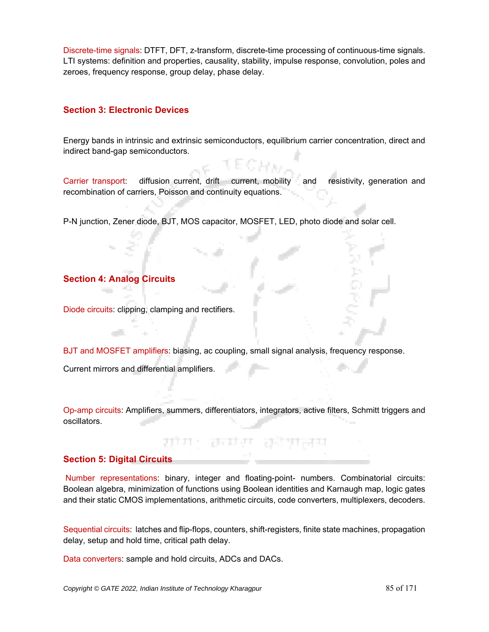Discrete-time signals: DTFT, DFT, z-transform, discrete-time processing of continuous-time signals. LTI systems: definition and properties, causality, stability, impulse response, convolution, poles and zeroes, frequency response, group delay, phase delay.

## **Section 3: Electronic Devices**

Energy bands in intrinsic and extrinsic semiconductors, equilibrium carrier concentration, direct and indirect band-gap semiconductors.

Carrier transport: diffusion current, drift current, mobility and resistivity, generation and recombination of carriers, Poisson and continuity equations.

P-N junction, Zener diode, BJT, MOS capacitor, MOSFET, LED, photo diode and solar cell.

# **Section 4: Analog Circuits**

Diode circuits: clipping, clamping and rectifiers.

BJT and MOSFET amplifiers: biasing, ac coupling, small signal analysis, frequency response. Current mirrors and differential amplifiers.

Op-amp circuits: Amplifiers, summers, differentiators, integrators, active filters, Schmitt triggers and oscillators.

ਰਾਜਸ਼ਾ ਰਾਜ

# **Section 5: Digital Circuits**

Number representations: binary, integer and floating-point- numbers. Combinatorial circuits: Boolean algebra, minimization of functions using Boolean identities and Karnaugh map, logic gates and their static CMOS implementations, arithmetic circuits, code converters, multiplexers, decoders.

Sequential circuits: latches and flip-flops, counters, shift-registers, finite state machines, propagation delay, setup and hold time, critical path delay.

Data converters: sample and hold circuits, ADCs and DACs.

23 T 23 T